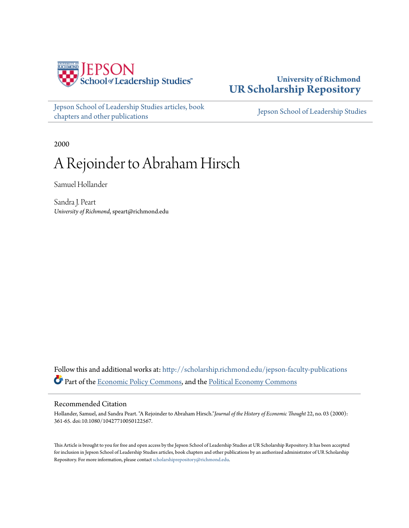

### **University of Richmond [UR Scholarship Repository](http://scholarship.richmond.edu?utm_source=scholarship.richmond.edu%2Fjepson-faculty-publications%2F106&utm_medium=PDF&utm_campaign=PDFCoverPages)**

[Jepson School of Leadership Studies articles, book](http://scholarship.richmond.edu/jepson-faculty-publications?utm_source=scholarship.richmond.edu%2Fjepson-faculty-publications%2F106&utm_medium=PDF&utm_campaign=PDFCoverPages) [chapters and other publications](http://scholarship.richmond.edu/jepson-faculty-publications?utm_source=scholarship.richmond.edu%2Fjepson-faculty-publications%2F106&utm_medium=PDF&utm_campaign=PDFCoverPages)

[Jepson School of Leadership Studies](http://scholarship.richmond.edu/jepson?utm_source=scholarship.richmond.edu%2Fjepson-faculty-publications%2F106&utm_medium=PDF&utm_campaign=PDFCoverPages)

2000

# A Rejoinder to Abraham Hirsch

Samuel Hollander

Sandra J. Peart *University of Richmond*, speart@richmond.edu

Follow this and additional works at: [http://scholarship.richmond.edu/jepson-faculty-publications](http://scholarship.richmond.edu/jepson-faculty-publications?utm_source=scholarship.richmond.edu%2Fjepson-faculty-publications%2F106&utm_medium=PDF&utm_campaign=PDFCoverPages) Part of the [Economic Policy Commons,](http://network.bepress.com/hgg/discipline/1025?utm_source=scholarship.richmond.edu%2Fjepson-faculty-publications%2F106&utm_medium=PDF&utm_campaign=PDFCoverPages) and the [Political Economy Commons](http://network.bepress.com/hgg/discipline/352?utm_source=scholarship.richmond.edu%2Fjepson-faculty-publications%2F106&utm_medium=PDF&utm_campaign=PDFCoverPages)

#### Recommended Citation

Hollander, Samuel, and Sandra Peart. "A Rejoinder to Abraham Hirsch."*Journal of the History of Economic Thought* 22, no. 03 (2000): 361-65. doi:10.1080/10427710050122567.

This Article is brought to you for free and open access by the Jepson School of Leadership Studies at UR Scholarship Repository. It has been accepted for inclusion in Jepson School of Leadership Studies articles, book chapters and other publications by an authorized administrator of UR Scholarship Repository. For more information, please contact [scholarshiprepository@richmond.edu.](mailto:scholarshiprepository@richmond.edu)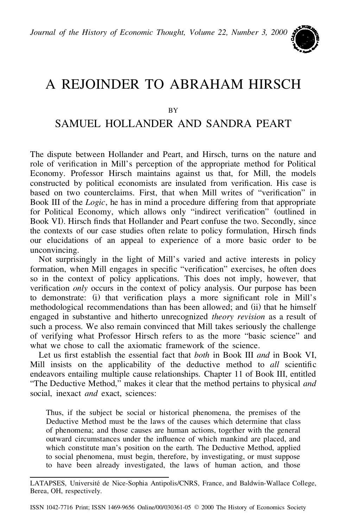*Journal of the History of Economic Thought, Volume 22, Number 3, 2000*



## A REJOINDER TO ABRAHAM HIRSCH

BY

### SAMUEL HOLLANDER AND SANDRA PEART

The dispute between Hollander and Peart, and Hirsch, turns on the nature and role of verification in Mill's perception of the appropriate method for Political Economy. Professor Hirsch maintains against us that, for Mill, the models constructed by political economists are insulated from verification. His case is based on two counterclaims. First, that when Mill writes of "verification" in Book III of the *Logic*, he has in mind a procedure differing from that appropriate for Political Economy, which allows only "indirect verification" (outlined in Book VI). Hirsch finds that Hollander and Peart confuse the two. Secondly, since the contexts of our case studies often relate to policy formulation, Hirsch finds our elucidations of an appeal to experience of a more basic order to be unconvincing.

Not surprisingly in the light of Mill's varied and active interests in policy formation, when Mill engages in specific "verification" exercises, he often does so in the context of policy applications. This does not imply, however, that verification *only* occurs in the context of policy analysis. Our purpose has been to demonstrate: (i) that verification plays a more significant role in Mill's methodological recommendations than has been allowed; and (ii) that he himself engaged in substantive and hitherto unrecognized *theory revision* as a result of such a process. We also remain convinced that Mill takes seriously the challenge of verifying what Professor Hirsch refers to as the more "basic science" and what we chose to call the axiomatic framework of the science.

Let us first establish the essential fact that *both* in Book III *and* in Book VI, Mill insists on the applicability of the deductive method to *all* scientific endeavors entailing multiple cause relationships. Chapter 11 of Book III, entitled "The Deductive Method," makes it clear that the method pertains to physical *and* social, inexact *and* exact, sciences:

Thus, if the subject be social or historical phenomena, the premises of the Deductive Method must be the laws of the causes which determine that class of phenomena; and those causes are human actions, together with the general outward circumstances under the influence of which mankind are placed, and which constitute man's position on the earth. The Deductive Method, applied to social phenomena, must begin, therefore, by investigating, or must suppose to have been already investigated, the laws of human action, and those

LATAPSES, Université de Nice-Sophia Antipolis/CNRS, France, and Baldwin-Wallace College, Berea, OH, respectively.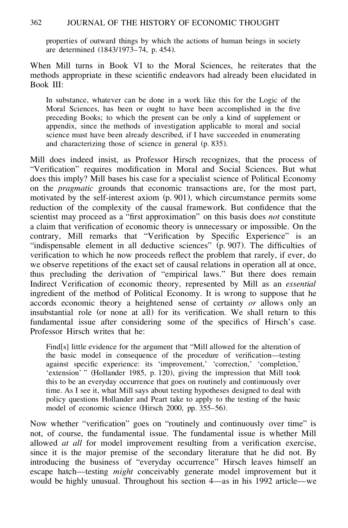#### 362 JOURNAL OF THE HISTORY OF ECONOMIC THOUGHT

properties of outward things by which the actions of human beings in society are determined (1843/1973–74, p. 454).

When Mill turns in Book VI to the Moral Sciences, he reiterates that the methods appropriate in these scientific endeavors had already been elucidated in Book III:

In substance, whatever can be done in a work like this for the Logic of the Moral Sciences, has been or ought to have been accomplished in the five preceding Books; to which the present can be only a kind of supplement or appendix, since the methods of investigation applicable to moral and social science must have been already described, if I have succeeded in enumerating and characterizing those of science in general (p. 835).

Mill does indeed insist, as Professor Hirsch recognizes, that the process of "Verification" requires modification in Moral and Social Sciences. But what does this imply? Mill bases his case for a specialist science of Political Economy on the *pragmatic* grounds that economic transactions are, for the most part, motivated by the self-interest axiom (p. 901), which circumstance permits some reduction of the complexity of the causal framework. But confidence that the scientist may proceed as a "first approximation" on this basis does *not* constitute a claim that verification of economic theory is unnecessary or impossible. On the contrary, Mill remarks that "Verification by Specific Experience" is an "indispensable element in all deductive sciences" (p. 907). The difficulties of verification to which he now proceeds reflect the problem that rarely, if ever, do we observe repetitions of the exact set of causal relations in operation all at once, thus precluding the derivation of "empirical laws." But there does remain Indirect Verification of economic theory, represented by Mill as an *essential* ingredient of the method of Political Economy. It is wrong to suppose that he accords economic theory a heightened sense of certainty *or* allows only an insubstantial role (or none at all) for its verification. We shall return to this fundamental issue after considering some of the specifics of Hirsch's case. Professor Hirsch writes that he:

Find[s] little evidence for the argument that "Mill allowed for the alteration of the basic model in consequence of the procedure of verification—testing against specific experience: its 'improvement,' 'correction,' 'completion,' 'extension' " (Hollander 1985, p. 120), giving the impression that Mill took this to be an everyday occurrence that goes on routinely and continuously over time. As I see it, what Mill says about testing hypotheses designed to deal with policy questions Hollander and Peart take to apply to the testing of the basic model of economic science (Hirsch 2000, pp. 355–56).

Now whether "verification" goes on "routinely and continuously over time" is not, of course, the fundamental issue. The fundamental issue is whether Mill allowed *at all* for model improvement resulting from a verification exercise, since it is the major premise of the secondary literature that he did not. By introducing the business of "everyday occurrence" Hirsch leaves himself an escape hatch—testing *might* conceivably generate model improvement but it would be highly unusual. Throughout his section 4—as in his 1992 article—we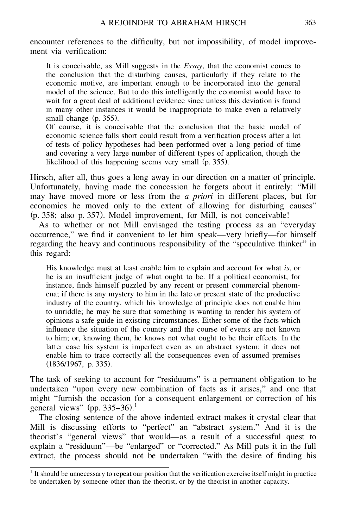encounter references to the difficulty, but not impossibility, of model improvement via verification<sup>.</sup>

It is conceivable, as Mill suggests in the *Essay*, that the economist comes to the conclusion that the disturbing causes, particularly if they relate to the economic motive, are important enough to be incorporated into the general model of the science. But to do this intelligently the economist would have to wait for a great deal of additional evidence since unless this deviation is found in many other instances it would be inappropriate to make even a relatively small change (p. 355).

Of course, it is conceivable that the conclusion that the basic model of economic science falls short could result from a verification process after a lot of tests of policy hypotheses had been performed over a long period of time and covering a very large number of different types of application, though the likelihood of this happening seems very small (p. 355).

Hirsch, after all, thus goes a long away in our direction on a matter of principle. Unfortunately, having made the concession he forgets about it entirely: "Mill may have moved more or less from the *a priori* in different places, but for economics he moved only to the extent of allowing for disturbing causes" (p. 358; also p. 357). Model improvement, for Mill, is not conceivable!

As to whether or not Mill envisaged the testing process as an "everyday occurrence," we find it convenient to let him speak—very briefly—for himself regarding the heavy and continuous responsibility of the "speculative thinker" in this regard:

His knowledge must at least enable him to explain and account for what *is*, or he is an insufficient judge of what ought to be. If a political economist, for instance, finds himself puzzled by any recent or present commercial phenomena; if there is any mystery to him in the late or present state of the productive industry of the country, which his knowledge of principle does not enable him to unriddle; he may be sure that something is wanting to render his system of opinions a safe guide in existing circumstances. Either some of the facts which influence the situation of the country and the course of events are not known to him; or, knowing them, he knows not what ought to be their effects. In the latter case his system is imperfect even as an abstract system; it does not enable him to trace correctly all the consequences even of assumed premises (1836/1967, p. 335).

The task of seeking to account for "residuums" is a permanent obligation to be undertaken "upon every new combination of facts as it arises," and one that might "furnish the occasion for a consequent enlargement or correction of his general views" (pp.  $335-36$ ).<sup>1</sup>

The closing sentence of the above indented extract makes it crystal clear that Mill is discussing efforts to "perfect" an "abstract system." And it is the theorist's "general views" that would—as a result of a successful quest to explain a "residuum"—be "enlarged" or "corrected." As Mill puts it in the full extract, the process should not be undertaken "with the desire of finding his

 $1$  It should be unnecessary to repeat our position that the verification exercise itself might in practice be undertaken by someone other than the theorist, or by the theorist in another capacity.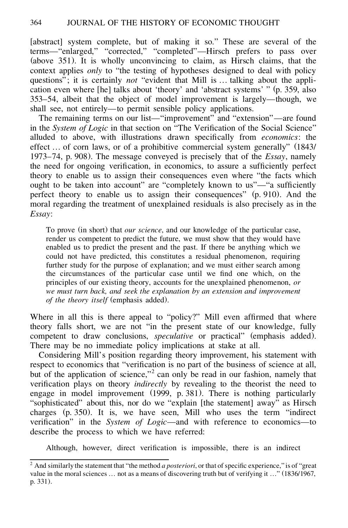[abstract] system complete, but of making it so." These are several of the terms—"enlarged," "corrected," "completed"—Hirsch prefers to pass over (above 351). It is wholly unconvincing to claim, as Hirsch claims, that the context applies *only* to "the testing of hypotheses designed to deal with policy questions" ; it is certainly *not* "evident that Mill is … talking about the application even where [he] talks about 'theory' and 'abstract systems' " (p. 359, also 353–54, albeit that the object of model improvement is largely—though, we shall see, not entirely—to permit sensible policy applications.

The remaining terms on our list—"improvement" and "extension"—are found in the *System of Logic* in that section on "The Verification of the Social Science" alluded to above, with illustrations drawn specifically from *economics*: the effect … of corn laws, or of a prohibitive commercial system generally" (1843/ 1973–74, p. 908). The message conveyed is precisely that of the *Essay*, namely the need for ongoing verification, in economics, to assure a sufficiently perfect theory to enable us to assign their consequences even where "the facts which ought to be taken into account" are "completely known to us"—"a sufficiently perfect theory to enable us to assign their consequences" (p. 910). And the moral regarding the treatment of unexplained residuals is also precisely as in the *Essay*:

To prove (in short) that *our science*, and our knowledge of the particular case, render us competent to predict the future, we must show that they would have enabled us to predict the present and the past. If there be anything which we could not have predicted, this constitutes a residual phenomenon, requiring further study for the purpose of explanation; and we must either search among the circumstances of the particular case until we find one which, on the principles of our existing theory, accounts for the unexplained phenomenon, *or we must turn back, and seek the explanation by an extension and improvement of the theory itself* (emphasis added).

Where in all this is there appeal to "policy?" Mill even affirmed that where theory falls short, we are not "in the present state of our knowledge, fully competent to draw conclusions, *speculative* or practical" (emphasis added). There may be no immediate policy implications at stake at all.

Considering Mill's position regarding theory improvement, his statement with respect to economics that "verification is no part of the business of science at all, but of the application of science,"<sup>2</sup> can only be read in our fashion, namely that verification plays on theory *indirectly* by revealing to the theorist the need to engage in model improvement (1999, p. 381). There is nothing particularly "sophisticated" about this, nor do we "explain [the statement] away" as Hirsch charges (p. 350). It is, we have seen, Mill who uses the term "indirect verification" in the *System of Logic*—and with reference to economics—to describe the process to which we have referred:

Although, however, direct verification is impossible, there is an indirect

 $2$  And similarly the statement that "the method *a posteriori*, or that of specific experience," is of "great value in the moral sciences … not as a means of discovering truth but of verifying it…" (1836/1967, p. 331).